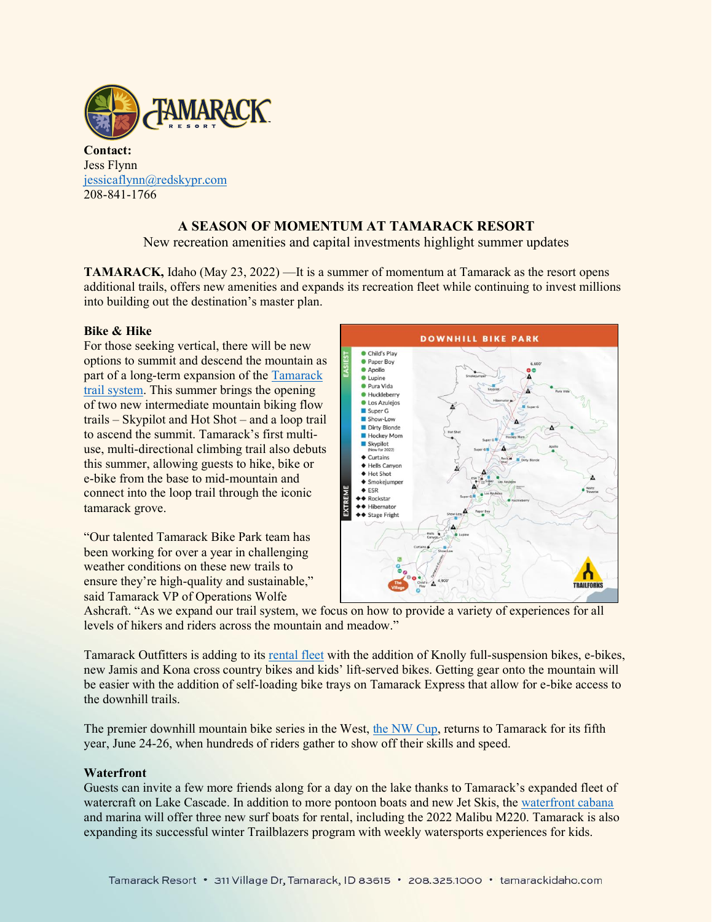

**Contact:** Jess Flynn [jessicaflynn@redskypr.com](mailto:jessicaflynn@redskypr.com) 208-841-1766

# **A SEASON OF MOMENTUM AT TAMARACK RESORT**

New recreation amenities and capital investments highlight summer updates

**TAMARACK,** Idaho (May 23, 2022) —It is a summer of momentum at Tamarack as the resort opens additional trails, offers new amenities and expands its recreation fleet while continuing to invest millions into building out the destination's master plan.

# **Bike & Hike**

For those seeking vertical, there will be new options to summit and descend the mountain as part of a long-term expansion of the [Tamarack](https://tamarackidaho.com/about/maps/summer-trails)  [trail system.](https://tamarackidaho.com/about/maps/summer-trails) This summer brings the opening of two new intermediate mountain biking flow trails – Skypilot and Hot Shot – and a loop trail to ascend the summit. Tamarack's first multiuse, multi-directional climbing trail also debuts this summer, allowing guests to hike, bike or e-bike from the base to mid-mountain and connect into the loop trail through the iconic tamarack grove.

"Our talented Tamarack Bike Park team has been working for over a year in challenging weather conditions on these new trails to ensure they're high-quality and sustainable," said Tamarack VP of Operations Wolfe



Ashcraft. "As we expand our trail system, we focus on how to provide a variety of experiences for all levels of hikers and riders across the mountain and meadow."

Tamarack Outfitters is adding to its [rental fleet](https://tamarackidaho.com/activities/rentals/bike-rentals) with the addition of Knolly full-suspension bikes, e-bikes, new Jamis and Kona cross country bikes and kids' lift-served bikes. Getting gear onto the mountain will be easier with the addition of self-loading bike trays on Tamarack Express that allow for e-bike access to the downhill trails.

The premier downhill mountain bike series in the West, [the NW Cup,](https://www.nwcup.com/) returns to Tamarack for its fifth year, June 24-26, when hundreds of riders gather to show off their skills and speed.

# **Waterfront**

Guests can invite a few more friends along for a day on the lake thanks to Tamarack's expanded fleet of watercraft on Lake Cascade. In addition to more pontoon boats and new Jet Skis, th[e waterfront cabana](https://tamarackidaho.com/activities/waterfront) and marina will offer three new surf boats for rental, including the 2022 Malibu M220. Tamarack is also expanding its successful winter Trailblazers program with weekly watersports experiences for kids.